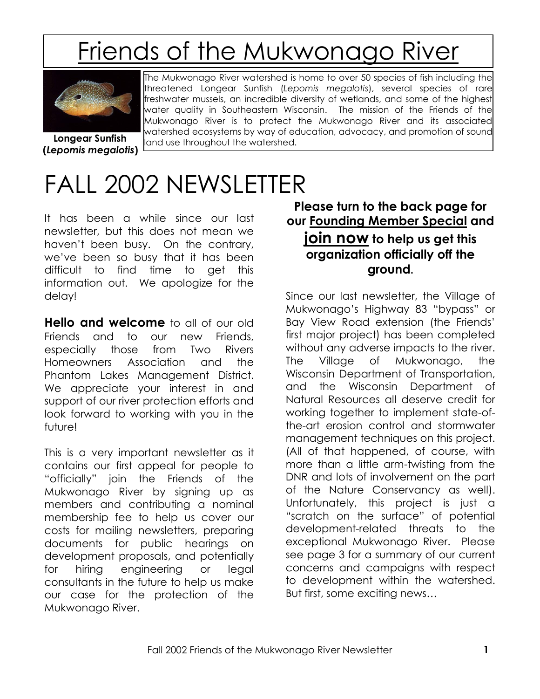# Friends of the Mukwonago River



The Mukwonago River watershed is home to over 50 species of fish including the threatened Longear Sunfish (*Lepomis megalotis*), several species of rare freshwater mussels, an incredible diversity of wetlands, and some of the highest water quality in Southeastern Wisconsin. The mission of the Friends of the Mukwonago River is to protect the Mukwonago River and its associated watershed ecosystems by way of education, advocacy, and promotion of sound land use throughout the watershed.

**Longear Sunfish (***Lepomis megalotis***)**

# FALL 2002 NEWSLETTER

It has been a while since our last newsletter, but this does not mean we haven"t been busy. On the contrary, we"ve been so busy that it has been difficult to find time to get this information out. We apologize for the delay!

**Hello and welcome** to all of our old Friends and to our new Friends, especially those from Two Rivers Homeowners Association and the Phantom Lakes Management District. We appreciate your interest in and support of our river protection efforts and look forward to working with you in the future!

This is a very important newsletter as it contains our first appeal for people to "officially" join the Friends of the Mukwonago River by signing up as members and contributing a nominal membership fee to help us cover our costs for mailing newsletters, preparing documents for public hearings on development proposals, and potentially for hiring engineering or legal consultants in the future to help us make our case for the protection of the Mukwonago River.

### **Please turn to the back page for our Founding Member Special and join now to help us get this organization officially off the ground.**

Since our last newsletter, the Village of Mukwonago"s Highway 83 "bypass" or Bay View Road extension (the Friends" first major project) has been completed without any adverse impacts to the river. The Village of Mukwonago, the Wisconsin Department of Transportation, and the Wisconsin Department of Natural Resources all deserve credit for working together to implement state-ofthe-art erosion control and stormwater management techniques on this project. (All of that happened, of course, with more than a little arm-twisting from the DNR and lots of involvement on the part of the Nature Conservancy as well). Unfortunately, this project is just a "scratch on the surface" of potential development-related threats to the exceptional Mukwonago River. Please see page 3 for a summary of our current concerns and campaigns with respect to development within the watershed. But first, some exciting news…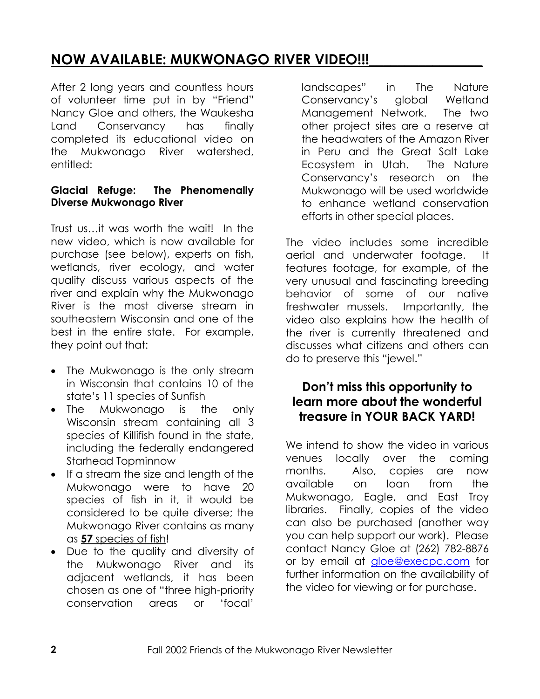# **NOW AVAILABLE: MUKWONAGO RIVER VIDEO!!!**

After 2 long years and countless hours of volunteer time put in by "Friend" Nancy Gloe and others, the Waukesha Land Conservancy has finally completed its educational video on the Mukwonago River watershed, entitled:

#### **Glacial Refuge: The Phenomenally Diverse Mukwonago River**

Trust us…it was worth the wait! In the new video, which is now available for purchase (see below), experts on fish, wetlands, river ecology, and water quality discuss various aspects of the river and explain why the Mukwonago River is the most diverse stream in southeastern Wisconsin and one of the best in the entire state. For example, they point out that:

- The Mukwonago is the only stream in Wisconsin that contains 10 of the state"s 11 species of Sunfish
- The Mukwonago is the only Wisconsin stream containing all 3 species of Killifish found in the state, including the federally endangered Starhead Topminnow
- If a stream the size and length of the Mukwonago were to have 20 species of fish in it, it would be considered to be quite diverse; the Mukwonago River contains as many as **57** species of fish!
- Due to the quality and diversity of the Mukwonago River and its adjacent wetlands, it has been chosen as one of "three high-priority conservation areas or "focal"

landscapes" in The Nature Conservancy"s global Wetland Management Network. The two other project sites are a reserve at the headwaters of the Amazon River in Peru and the Great Salt Lake Ecosystem in Utah. The Nature Conservancy"s research on the Mukwonago will be used worldwide to enhance wetland conservation efforts in other special places.

The video includes some incredible aerial and underwater footage. It features footage, for example, of the very unusual and fascinating breeding behavior of some of our native freshwater mussels. Importantly, the video also explains how the health of the river is currently threatened and discusses what citizens and others can do to preserve this "jewel."

### **Don't miss this opportunity to learn more about the wonderful treasure in YOUR BACK YARD!**

We intend to show the video in various venues locally over the coming months. Also, copies are now available on loan from the Mukwonago, Eagle, and East Troy libraries. Finally, copies of the video can also be purchased (another way you can help support our work). Please contact Nancy Gloe at (262) 782-8876 or by email at [gloe@execpc.com](mailto:gloe@execpc.com) for further information on the availability of the video for viewing or for purchase.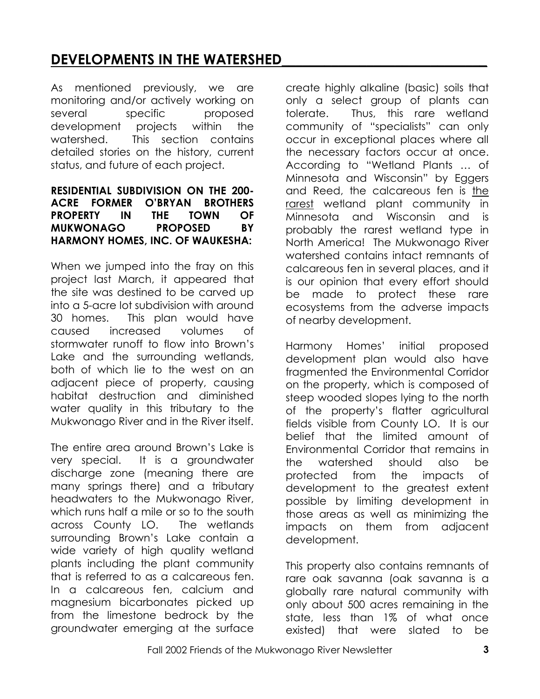# **DEVELOPMENTS IN THE WATERSHED\_\_\_\_\_\_\_\_\_\_\_\_\_\_\_\_\_\_\_\_\_\_\_\_\_\_\_\_\_**

As mentioned previously, we are monitoring and/or actively working on several specific proposed development projects within the watershed. This section contains detailed stories on the history, current status, and future of each project.

#### **RESIDENTIAL SUBDIVISION ON THE 200- ACRE FORMER O'BRYAN BROTHERS PROPERTY IN THE TOWN OF MUKWONAGO PROPOSED BY HARMONY HOMES, INC. OF WAUKESHA:**

When we jumped into the fray on this project last March, it appeared that the site was destined to be carved up into a 5-acre lot subdivision with around 30 homes. This plan would have caused increased volumes of stormwater runoff to flow into Brown"s Lake and the surrounding wetlands, both of which lie to the west on an adjacent piece of property, causing habitat destruction and diminished water quality in this tributary to the Mukwonago River and in the River itself.

The entire area around Brown"s Lake is very special. It is a groundwater discharge zone (meaning there are many springs there) and a tributary headwaters to the Mukwonago River, which runs half a mile or so to the south across County LO. The wetlands surrounding Brown"s Lake contain a wide variety of high quality wetland plants including the plant community that is referred to as a calcareous fen. In a calcareous fen, calcium and magnesium bicarbonates picked up from the limestone bedrock by the groundwater emerging at the surface

create highly alkaline (basic) soils that only a select group of plants can tolerate. Thus, this rare wetland community of "specialists" can only occur in exceptional places where all the necessary factors occur at once. According to "Wetland Plants … of Minnesota and Wisconsin" by Eggers and Reed, the calcareous fen is the rarest wetland plant community in Minnesota and Wisconsin and is probably the rarest wetland type in North America! The Mukwonago River watershed contains intact remnants of calcareous fen in several places, and it is our opinion that every effort should be made to protect these rare ecosystems from the adverse impacts of nearby development.

Harmony Homes" initial proposed development plan would also have fragmented the Environmental Corridor on the property, which is composed of steep wooded slopes lying to the north of the property"s flatter agricultural fields visible from County LO. It is our belief that the limited amount of Environmental Corridor that remains in the watershed should also be protected from the impacts of development to the greatest extent possible by limiting development in those areas as well as minimizing the impacts on them from adjacent development.

This property also contains remnants of rare oak savanna (oak savanna is a globally rare natural community with only about 500 acres remaining in the state, less than 1% of what once existed) that were slated to be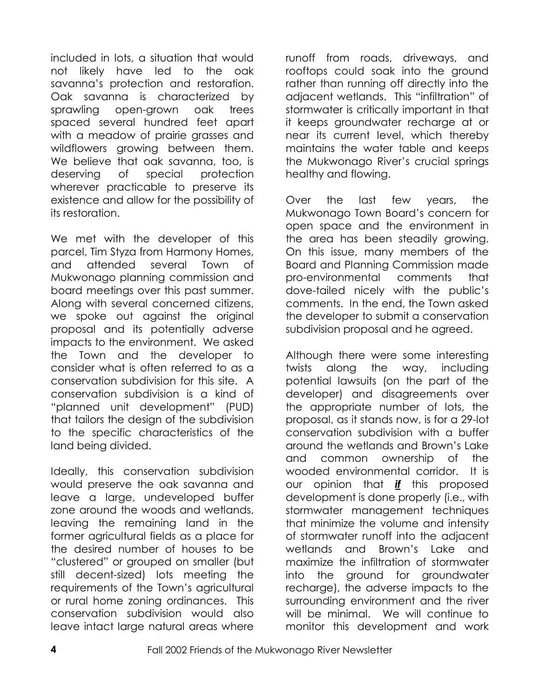included in lots, a situation that would not likely have led to the oak savanna"s protection and restoration. Oak savanna is characterized by sprawling open-grown oak trees spaced several hundred feet apart with a meadow of prairie grasses and wildflowers growing between them. We believe that oak savanna, too, is deserving of special protection wherever practicable to preserve its existence and allow for the possibility of its restoration.

We met with the developer of this parcel, Tim Styza from Harmony Homes, and attended several Town of Mukwonago planning commission and board meetings over this past summer. Along with several concerned citizens, we spoke out against the original proposal and its potentially adverse impacts to the environment. We asked the Town and the developer to consider what is often referred to as a conservation subdivision for this site. A conservation subdivision is a kind of "planned unit development" (PUD) that tailors the design of the subdivision to the specific characteristics of the land being divided.

Ideally, this conservation subdivision would preserve the oak savanna and leave a large, undeveloped buffer zone around the woods and wetlands, leaving the remaining land in the former agricultural fields as a place for the desired number of houses to be "clustered" or grouped on smaller (but still decent-sized) lots meeting the requirements of the Town"s agricultural or rural home zoning ordinances. This conservation subdivision would also leave intact large natural areas where

runoff from roads, driveways, and rooftops could soak into the ground rather than running off directly into the adjacent wetlands. This "infiltration" of stormwater is critically important in that it keeps groundwater recharge at or near its current level, which thereby maintains the water table and keeps the Mukwonago River"s crucial springs healthy and flowing.

Over the last few years, the Mukwonago Town Board"s concern for open space and the environment in the area has been steadily growing. On this issue, many members of the Board and Planning Commission made pro-environmental comments that dove-tailed nicely with the public"s comments. In the end, the Town asked the developer to submit a conservation subdivision proposal and he agreed.

Although there were some interesting twists along the way, including potential lawsuits (on the part of the developer) and disagreements over the appropriate number of lots, the proposal, as it stands now, is for a 29-lot conservation subdivision with a buffer around the wetlands and Brown"s Lake and common ownership of the wooded environmental corridor. It is our opinion that *if* this proposed development is done properly (i.e., with stormwater management techniques that minimize the volume and intensity of stormwater runoff into the adjacent wetlands and Brown"s Lake and maximize the infiltration of stormwater into the ground for groundwater recharge), the adverse impacts to the surrounding environment and the river will be minimal. We will continue to monitor this development and work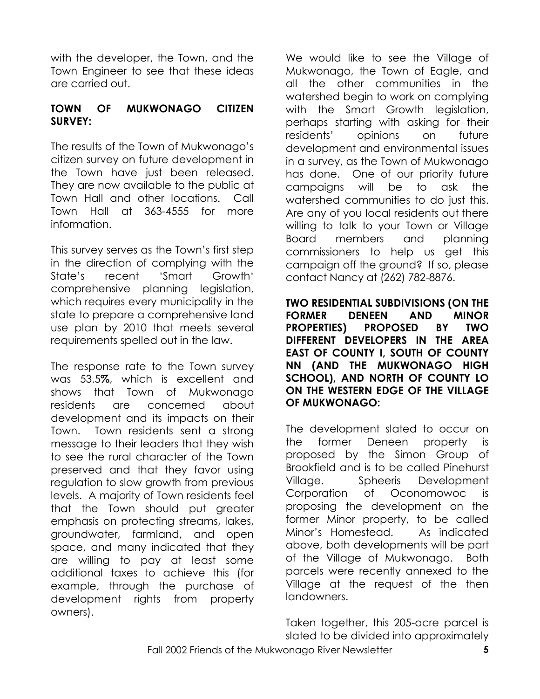with the developer, the Town, and the Town Engineer to see that these ideas are carried out.

#### **TOWN OF MUKWONAGO CITIZEN SURVEY:**

The results of the Town of Mukwonago"s citizen survey on future development in the Town have just been released. They are now available to the public at Town Hall and other locations. Call Town Hall at 363-4555 for more information.

This survey serves as the Town"s first step in the direction of complying with the State"s recent "Smart Growth" comprehensive planning legislation, which requires every municipality in the state to prepare a comprehensive land use plan by 2010 that meets several requirements spelled out in the law.

The response rate to the Town survey was 53.5**%**, which is excellent and shows that Town of Mukwonago residents are concerned about development and its impacts on their Town. Town residents sent a strong message to their leaders that they wish to see the rural character of the Town preserved and that they favor using regulation to slow growth from previous levels. A majority of Town residents feel that the Town should put greater emphasis on protecting streams, lakes, groundwater, farmland, and open space, and many indicated that they are willing to pay at least some additional taxes to achieve this (for example, through the purchase of development rights from property owners).

We would like to see the Village of Mukwonago, the Town of Eagle, and all the other communities in the watershed begin to work on complying with the Smart Growth legislation, perhaps starting with asking for their residents" opinions on future development and environmental issues in a survey, as the Town of Mukwonago has done. One of our priority future campaigns will be to ask the watershed communities to do just this. Are any of you local residents out there willing to talk to your Town or Village Board members and planning commissioners to help us get this campaign off the ground? If so, please contact Nancy at (262) 782-8876.

**TWO RESIDENTIAL SUBDIVISIONS (ON THE FORMER DENEEN AND MINOR PROPERTIES) PROPOSED BY TWO DIFFERENT DEVELOPERS IN THE AREA EAST OF COUNTY I, SOUTH OF COUNTY NN (AND THE MUKWONAGO HIGH SCHOOL), AND NORTH OF COUNTY LO ON THE WESTERN EDGE OF THE VILLAGE OF MUKWONAGO:**

The development slated to occur on the former Deneen property is proposed by the Simon Group of Brookfield and is to be called Pinehurst Village. Spheeris Development Corporation of Oconomowoc is proposing the development on the former Minor property, to be called Minor"s Homestead. As indicated above, both developments will be part of the Village of Mukwonago. Both parcels were recently annexed to the Village at the request of the then landowners.

Taken together, this 205-acre parcel is slated to be divided into approximately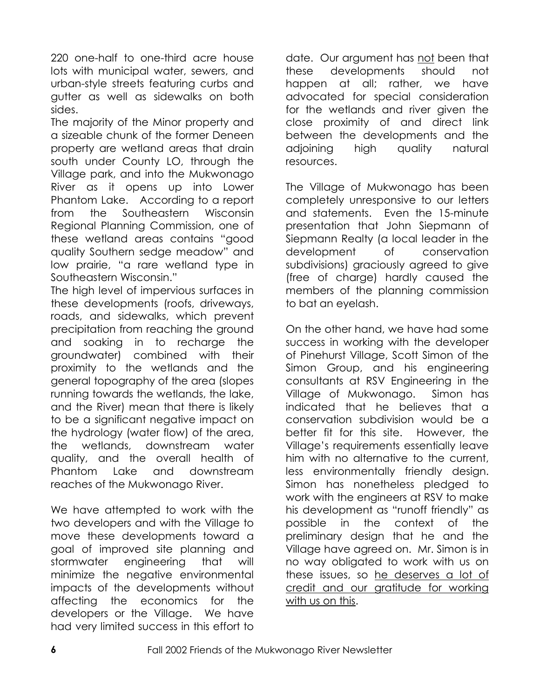220 one-half to one-third acre house lots with municipal water, sewers, and urban-style streets featuring curbs and gutter as well as sidewalks on both sides.

The majority of the Minor property and a sizeable chunk of the former Deneen property are wetland areas that drain south under County LO, through the Village park, and into the Mukwonago River as it opens up into Lower Phantom Lake. According to a report from the Southeastern Wisconsin Regional Planning Commission, one of these wetland areas contains "good quality Southern sedge meadow" and low prairie, "a rare wetland type in Southeastern Wisconsin."

The high level of impervious surfaces in these developments (roofs, driveways, roads, and sidewalks, which prevent precipitation from reaching the ground and soaking in to recharge the groundwater) combined with their proximity to the wetlands and the general topography of the area (slopes running towards the wetlands, the lake, and the River) mean that there is likely to be a significant negative impact on the hydrology (water flow) of the area, the wetlands, downstream water quality, and the overall health of Phantom Lake and downstream reaches of the Mukwonago River.

We have attempted to work with the two developers and with the Village to move these developments toward a goal of improved site planning and stormwater engineering that will minimize the negative environmental impacts of the developments without affecting the economics for the developers or the Village. We have had very limited success in this effort to

date. Our argument has not been that these developments should not happen at all; rather, we have advocated for special consideration for the wetlands and river given the close proximity of and direct link between the developments and the adjoining high quality natural resources.

The Village of Mukwonago has been completely unresponsive to our letters and statements. Even the 15-minute presentation that John Siepmann of Siepmann Realty (a local leader in the development of conservation subdivisions) graciously agreed to give (free of charge) hardly caused the members of the planning commission to bat an eyelash.

On the other hand, we have had some success in working with the developer of Pinehurst Village, Scott Simon of the Simon Group, and his engineering consultants at RSV Engineering in the Village of Mukwonago. Simon has indicated that he believes that a conservation subdivision would be a better fit for this site. However, the Village"s requirements essentially leave him with no alternative to the current, less environmentally friendly design. Simon has nonetheless pledged to work with the engineers at RSV to make his development as "runoff friendly" as possible in the context of the preliminary design that he and the Village have agreed on. Mr. Simon is in no way obligated to work with us on these issues, so he deserves a lot of credit and our gratitude for working with us on this.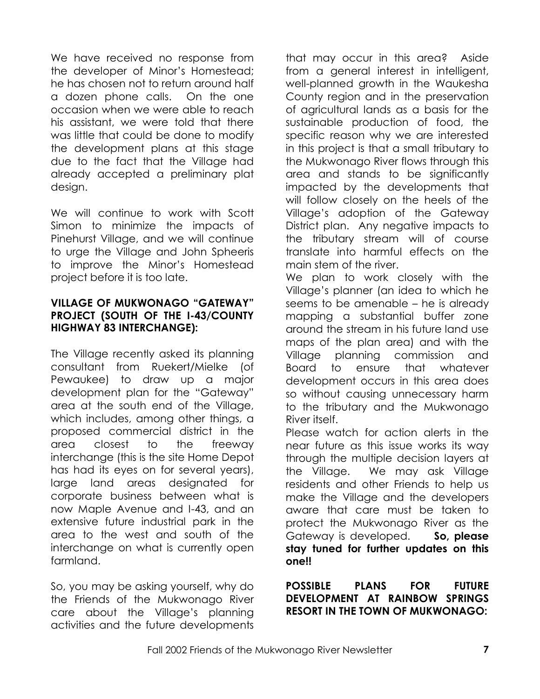We have received no response from the developer of Minor"s Homestead; he has chosen not to return around half a dozen phone calls. On the one occasion when we were able to reach his assistant, we were told that there was little that could be done to modify the development plans at this stage due to the fact that the Village had already accepted a preliminary plat design.

We will continue to work with Scott Simon to minimize the impacts of Pinehurst Village, and we will continue to urge the Village and John Spheeris to improve the Minor"s Homestead project before it is too late.

#### **VILLAGE OF MUKWONAGO "GATEWAY" PROJECT (SOUTH OF THE I-43/COUNTY HIGHWAY 83 INTERCHANGE):**

The Village recently asked its planning consultant from Ruekert/Mielke (of Pewaukee) to draw up a major development plan for the "Gateway" area at the south end of the Village, which includes, among other things, a proposed commercial district in the area closest to the freeway interchange (this is the site Home Depot has had its eyes on for several years), large land areas designated for corporate business between what is now Maple Avenue and I-43, and an extensive future industrial park in the area to the west and south of the interchange on what is currently open farmland.

So, you may be asking yourself, why do the Friends of the Mukwonago River care about the Village"s planning activities and the future developments

that may occur in this area? Aside from a general interest in intelligent, well-planned growth in the Waukesha County region and in the preservation of agricultural lands as a basis for the sustainable production of food, the specific reason why we are interested in this project is that a small tributary to the Mukwonago River flows through this area and stands to be significantly impacted by the developments that will follow closely on the heels of the Village"s adoption of the Gateway District plan. Any negative impacts to the tributary stream will of course translate into harmful effects on the main stem of the river.

We plan to work closely with the Village"s planner (an idea to which he seems to be amenable – he is already mapping a substantial buffer zone around the stream in his future land use maps of the plan area) and with the Village planning commission and Board to ensure that whatever development occurs in this area does so without causing unnecessary harm to the tributary and the Mukwonago River itself.

Please watch for action alerts in the near future as this issue works its way through the multiple decision layers at the Village. We may ask Village residents and other Friends to help us make the Village and the developers aware that care must be taken to protect the Mukwonago River as the Gateway is developed. **So, please stay tuned for further updates on this one!!**

**POSSIBLE PLANS FOR FUTURE DEVELOPMENT AT RAINBOW SPRINGS RESORT IN THE TOWN OF MUKWONAGO:**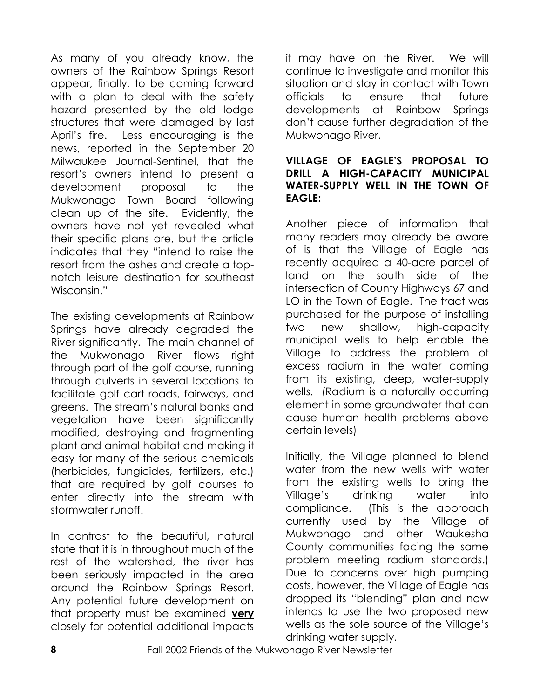As many of you already know, the owners of the Rainbow Springs Resort appear, finally, to be coming forward with a plan to deal with the safety hazard presented by the old lodge structures that were damaged by last April"s fire. Less encouraging is the news, reported in the September 20 Milwaukee Journal-Sentinel, that the resort"s owners intend to present a development proposal to the Mukwonago Town Board following clean up of the site. Evidently, the owners have not yet revealed what their specific plans are, but the article indicates that they "intend to raise the resort from the ashes and create a topnotch leisure destination for southeast Wisconsin."

The existing developments at Rainbow Springs have already degraded the River significantly. The main channel of the Mukwonago River flows right through part of the golf course, running through culverts in several locations to facilitate golf cart roads, fairways, and greens. The stream"s natural banks and vegetation have been significantly modified, destroying and fragmenting plant and animal habitat and making it easy for many of the serious chemicals (herbicides, fungicides, fertilizers, etc.) that are required by golf courses to enter directly into the stream with stormwater runoff.

In contrast to the beautiful, natural state that it is in throughout much of the rest of the watershed, the river has been seriously impacted in the area around the Rainbow Springs Resort. Any potential future development on that property must be examined **very** closely for potential additional impacts

it may have on the River. We will continue to investigate and monitor this situation and stay in contact with Town officials to ensure that future developments at Rainbow Springs don"t cause further degradation of the Mukwonago River.

#### **VILLAGE OF EAGLE'S PROPOSAL TO DRILL A HIGH-CAPACITY MUNICIPAL WATER-SUPPLY WELL IN THE TOWN OF EAGLE:**

Another piece of information that many readers may already be aware of is that the Village of Eagle has recently acquired a 40-acre parcel of land on the south side of the intersection of County Highways 67 and LO in the Town of Eagle. The tract was purchased for the purpose of installing two new shallow, high-capacity municipal wells to help enable the Village to address the problem of excess radium in the water coming from its existing, deep, water-supply wells. (Radium is a naturally occurring element in some groundwater that can cause human health problems above certain levels)

Initially, the Village planned to blend water from the new wells with water from the existing wells to bring the Village"s drinking water into compliance. (This is the approach currently used by the Village of Mukwonago and other Waukesha County communities facing the same problem meeting radium standards.) Due to concerns over high pumping costs, however, the Village of Eagle has dropped its "blending" plan and now intends to use the two proposed new wells as the sole source of the Village"s drinking water supply.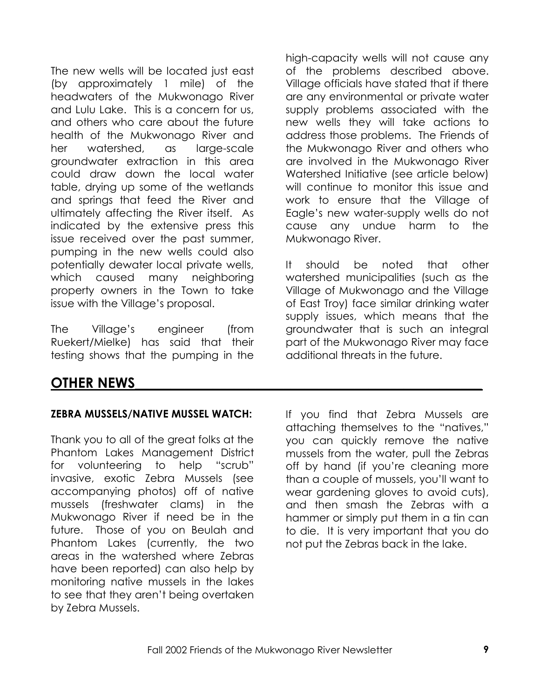The new wells will be located just east (by approximately 1 mile) of the headwaters of the Mukwonago River and Lulu Lake. This is a concern for us, and others who care about the future health of the Mukwonago River and her watershed, as large-scale groundwater extraction in this area could draw down the local water table, drying up some of the wetlands and springs that feed the River and ultimately affecting the River itself. As indicated by the extensive press this issue received over the past summer, pumping in the new wells could also potentially dewater local private wells, which caused many neighboring property owners in the Town to take issue with the Village"s proposal.

The Village"s engineer (from Ruekert/Mielke) has said that their testing shows that the pumping in the

high-capacity wells will not cause any of the problems described above. Village officials have stated that if there are any environmental or private water supply problems associated with the new wells they will take actions to address those problems. The Friends of the Mukwonago River and others who are involved in the Mukwonago River Watershed Initiative (see article below) will continue to monitor this issue and work to ensure that the Village of Eagle"s new water-supply wells do not cause any undue harm to the Mukwonago River.

It should be noted that other watershed municipalities (such as the Village of Mukwonago and the Village of East Troy) face similar drinking water supply issues, which means that the groundwater that is such an integral part of the Mukwonago River may face additional threats in the future.

## **OTHER NEWS\_\_\_\_\_\_\_\_\_\_\_\_\_\_\_\_\_\_\_\_\_\_\_\_\_\_\_\_\_\_\_\_\_\_\_\_\_\_\_\_\_\_\_\_\_\_\_\_\_**

#### **ZEBRA MUSSELS/NATIVE MUSSEL WATCH:**

Thank you to all of the great folks at the Phantom Lakes Management District for volunteering to help "scrub" invasive, exotic Zebra Mussels (see accompanying photos) off of native mussels (freshwater clams) in the Mukwonago River if need be in the future. Those of you on Beulah and Phantom Lakes (currently, the two areas in the watershed where Zebras have been reported) can also help by monitoring native mussels in the lakes to see that they aren"t being overtaken by Zebra Mussels.

If you find that Zebra Mussels are attaching themselves to the "natives," you can quickly remove the native mussels from the water, pull the Zebras off by hand (if you"re cleaning more than a couple of mussels, you"ll want to wear gardening gloves to avoid cuts), and then smash the Zebras with a hammer or simply put them in a tin can to die. It is very important that you do not put the Zebras back in the lake.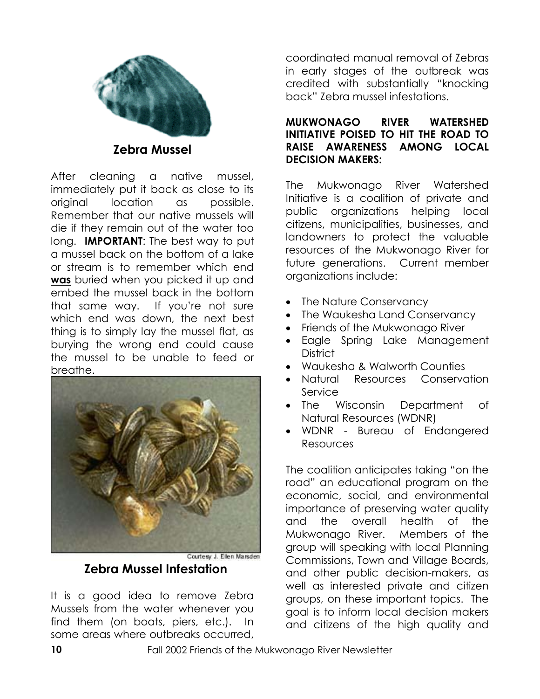

**Zebra Mussel**

After cleaning a native mussel, immediately put it back as close to its original location as possible. Remember that our native mussels will die if they remain out of the water too long. **IMPORTANT**: The best way to put a mussel back on the bottom of a lake or stream is to remember which end **was** buried when you picked it up and embed the mussel back in the bottom that same way. If you"re not sure which end was down, the next best thing is to simply lay the mussel flat, as burying the wrong end could cause the mussel to be unable to feed or breathe.



#### **Zebra Mussel Infestation**

It is a good idea to remove Zebra Mussels from the water whenever you find them (on boats, piers, etc.). In some areas where outbreaks occurred,

coordinated manual removal of Zebras in early stages of the outbreak was credited with substantially "knocking back" Zebra mussel infestations.

#### **MUKWONAGO RIVER WATERSHED INITIATIVE POISED TO HIT THE ROAD TO RAISE AWARENESS AMONG LOCAL DECISION MAKERS:**

The Mukwonago River Watershed Initiative is a coalition of private and public organizations helping local citizens, municipalities, businesses, and landowners to protect the valuable resources of the Mukwonago River for future generations. Current member organizations include:

- The Nature Conservancy
- The Waukesha Land Conservancy
- Friends of the Mukwonago River
- Eagle Spring Lake Management **District**
- Waukesha & Walworth Counties
- Natural Resources Conservation Service
- The Wisconsin Department of Natural Resources (WDNR)
- WDNR Bureau of Endangered Resources

The coalition anticipates taking "on the road" an educational program on the economic, social, and environmental importance of preserving water quality and the overall health of the Mukwonago River. Members of the group will speaking with local Planning Commissions, Town and Village Boards, and other public decision-makers, as well as interested private and citizen groups, on these important topics. The goal is to inform local decision makers and citizens of the high quality and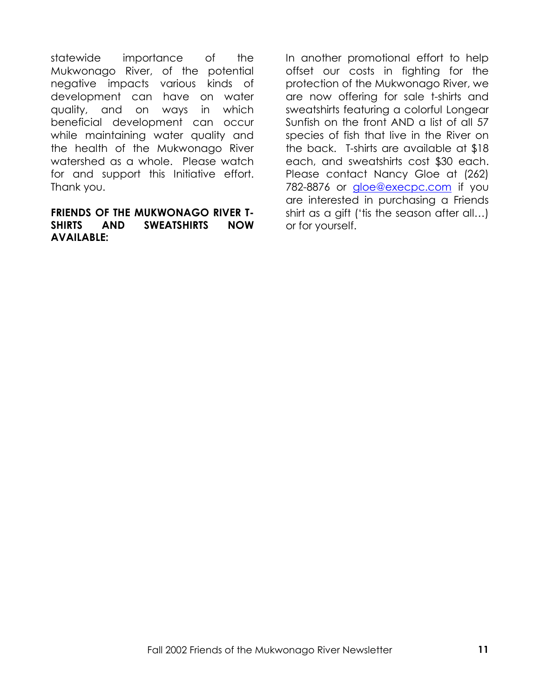statewide importance of the Mukwonago River, of the potential negative impacts various kinds of development can have on water quality, and on ways in which beneficial development can occur while maintaining water quality and the health of the Mukwonago River watershed as a whole. Please watch for and support this Initiative effort. Thank you.

#### **FRIENDS OF THE MUKWONAGO RIVER T-SHIRTS AND SWEATSHIRTS NOW AVAILABLE:**

In another promotional effort to help offset our costs in fighting for the protection of the Mukwonago River, we are now offering for sale t-shirts and sweatshirts featuring a colorful Longear Sunfish on the front AND a list of all 57 species of fish that live in the River on the back. T-shirts are available at \$18 each, and sweatshirts cost \$30 each. Please contact Nancy Gloe at (262) 782-8876 or [gloe@execpc.com](mailto:gloe@execpc.com) if you are interested in purchasing a Friends shirt as a gift ("tis the season after all…) or for yourself.